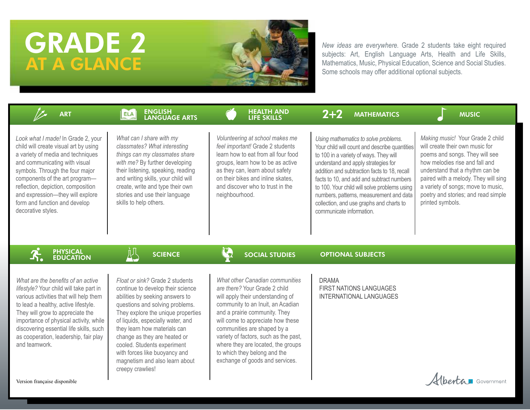# GRADE 2 AT A GLANCE



*New ideas are everywhere.* Grade 2 students take eight required subjects: Art, English Language Arts, Health and Life Skills, Mathematics, Music, Physical Education, Science and Social Studies. Some schools may offer additional optional subjects.

| <b>ART</b>                                                                                                                                                                                                                                                                                                                                              | <b>ENGLISH</b><br><b>ELA</b><br><b>LANGUAGE ARTS</b>                                                                                                                                                                                                                                                                                                                                                        | <b>HEALTH AND</b><br><b>LIFE SKILLS</b>                                                                                                                                                                                                                                                                                                                                                           | $2 + 2$<br><b>MATHEMATICS</b>                                                                                                                                                                                                                                                                                                                                                                                                          | <b>MUSIC</b>                                                                                                                                                                                                                                                                                                        |
|---------------------------------------------------------------------------------------------------------------------------------------------------------------------------------------------------------------------------------------------------------------------------------------------------------------------------------------------------------|-------------------------------------------------------------------------------------------------------------------------------------------------------------------------------------------------------------------------------------------------------------------------------------------------------------------------------------------------------------------------------------------------------------|---------------------------------------------------------------------------------------------------------------------------------------------------------------------------------------------------------------------------------------------------------------------------------------------------------------------------------------------------------------------------------------------------|----------------------------------------------------------------------------------------------------------------------------------------------------------------------------------------------------------------------------------------------------------------------------------------------------------------------------------------------------------------------------------------------------------------------------------------|---------------------------------------------------------------------------------------------------------------------------------------------------------------------------------------------------------------------------------------------------------------------------------------------------------------------|
| Look what I made! In Grade 2, your<br>child will create visual art by using<br>a variety of media and techniques<br>and communicating with visual<br>symbols. Through the four major<br>components of the art program-<br>reflection, depiction, composition<br>and expression-they will explore<br>form and function and develop<br>decorative styles. | What can I share with my<br>classmates? What interesting<br>things can my classmates share<br>with me? By further developing<br>their listening, speaking, reading<br>and writing skills, your child will<br>create, write and type their own<br>stories and use their language<br>skills to help others.                                                                                                   | Volunteering at school makes me<br>feel important! Grade 2 students<br>learn how to eat from all four food<br>groups, learn how to be as active<br>as they can, learn about safety<br>on their bikes and inline skates.<br>and discover who to trust in the<br>neighbourhood.                                                                                                                     | Using mathematics to solve problems.<br>Your child will count and describe quantities<br>to 100 in a variety of ways. They will<br>understand and apply strategies for<br>addition and subtraction facts to 18, recall<br>facts to 10, and add and subtract numbers<br>to 100. Your child will solve problems using<br>numbers, patterns, measurement and data<br>collection, and use graphs and charts to<br>communicate information. | Making music! Your Grade 2 child<br>will create their own music for<br>poems and songs. They will see<br>how melodies rise and fall and<br>understand that a rhythm can be<br>paired with a melody. They will sing<br>a variety of songs; move to music,<br>poetry and stories; and read simple<br>printed symbols. |
| <b>PHYSICAL<br/>EDUCATION</b>                                                                                                                                                                                                                                                                                                                           | Ņζ<br><b>SCIENCE</b>                                                                                                                                                                                                                                                                                                                                                                                        | $\mathbb{C}$<br><b>SOCIAL STUDIES</b>                                                                                                                                                                                                                                                                                                                                                             | <b>OPTIONAL SUBJECTS</b>                                                                                                                                                                                                                                                                                                                                                                                                               |                                                                                                                                                                                                                                                                                                                     |
| What are the benefits of an active<br>lifestyle? Your child will take part in<br>various activities that will help them<br>to lead a healthy, active lifestyle.<br>They will grow to appreciate the<br>importance of physical activity, while<br>discovering essential life skills, such<br>as cooperation, leadership, fair play<br>and teamwork.      | Float or sink? Grade 2 students<br>continue to develop their science<br>abilities by seeking answers to<br>questions and solving problems.<br>They explore the unique properties<br>of liquids, especially water, and<br>they learn how materials can<br>change as they are heated or<br>cooled. Students experiment<br>with forces like buoyancy and<br>magnetism and also learn about<br>creepy crawlies! | What other Canadian communities<br>are there? Your Grade 2 child<br>will apply their understanding of<br>community to an Inuit, an Acadian<br>and a prairie community. They<br>will come to appreciate how these<br>communities are shaped by a<br>variety of factors, such as the past,<br>where they are located, the groups<br>to which they belong and the<br>exchange of goods and services. | <b>DRAMA</b><br><b>FIRST NATIONS LANGUAGES</b><br><b>INTERNATIONAL LANGUAGES</b>                                                                                                                                                                                                                                                                                                                                                       |                                                                                                                                                                                                                                                                                                                     |
| Version française disponible                                                                                                                                                                                                                                                                                                                            |                                                                                                                                                                                                                                                                                                                                                                                                             |                                                                                                                                                                                                                                                                                                                                                                                                   |                                                                                                                                                                                                                                                                                                                                                                                                                                        | Hberta Government                                                                                                                                                                                                                                                                                                   |